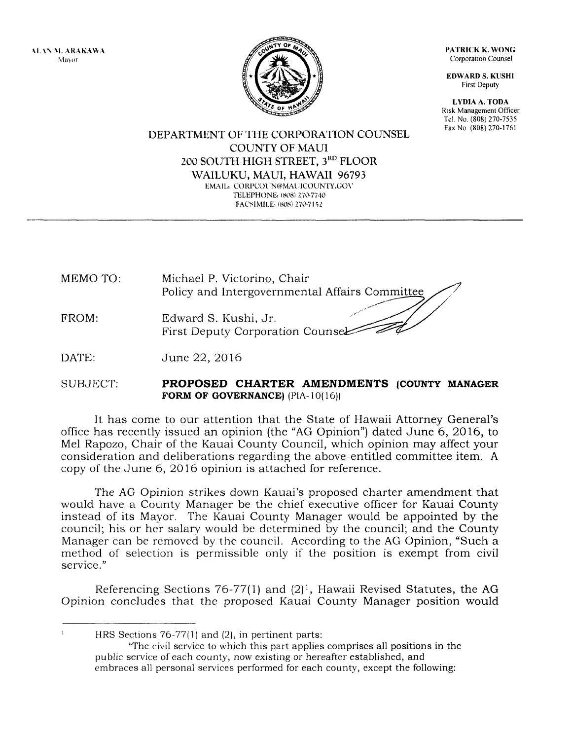\t. \\ l\1. ARAK.\\1,\ Mayor



PATRICK K. WONG Corporation Counsel

EDWARD S. KUSHI First Deputy

LYDIA A. TODA Risk Management Officer Tel. No. (808) 270-7535 Fax No (808) 270-1761

DEPARTMENT OF THE CORPORATION COUNSEL COUNTY OF MAUI 200 SOUTH HIGH STREET, 3RD FLOOR WAILUKU, MAUI, HAWAII 96793 EMAIL: CORPCOUN@MAUICOUNTY.GOV TELEPHONE: (808) 270-7740 FACSIMILE: (808) 270-7152

MEMO TO: FROM: Michael P, Victorino, Chair Policy and Intergovernmental Affairs Comm<u>it</u> Edward S. Kushi, Jr. First Deputy Corporation Coun

DATE: June 22, 2016

## SUBJECT: PROPOSED CHARTER AMENDMENTS (COUNTY MANAGER FORM OF GOVERNANCE)  $(PIA-10(16))$

It has come to our attention that the State of Hawaii Attorney General's office has recently issued an opinion (the "AG Opinion") dated June 6,2016, to Mel Rapozo, Chair of the Kauai County Council, which opinion may affect your consideration and deliberations regarding the above-entitled committee item. A copy of the June 6,20 16 opinion is attached for reference.

The AG Opinion strikes down Kauai's proposed charter amendment that would have a County Manager be the chief executive officer for Kauai County instead of its Mayor, The Kauai County Manager would be appointed by the council; his or her salary would be determined by the council; and the County Manager can be rcmoved by the council. According to the AG Opinion, "Such a method of selection is permissible only if the position is exempt from civil service."

Referencing Sections 76-77(1) and  $(2)^1$ , Hawaii Revised Statutes, the AG Opinion concludes that the proposed Kauai County Manager position would

 $\mathbf{r}$ HRS Sections  $76-77(1)$  and  $(2)$ , in pertinent parts:

"The civil service to which this part applies comprises all positions in the public service of each county, now existing or hereafter established, and embraces all personal services performed for each county, except the following: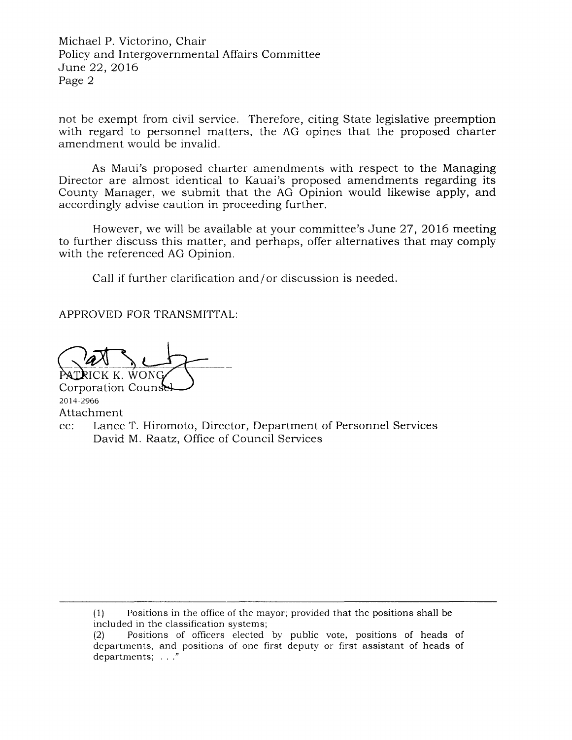Michael P. Victorino, Chair Policy and Intergovernmental Affairs Committee June 22, 2016 Page 2

not be exempt from civil service. Therefore, citing State legislative preemption with regard to personnel matters, the AG opines that the proposed charter amendment would be invalid.

As Maui's proposed charter amendments with respect to the Managing Director are almost identical to Kauai's proposed amendments regarding its County Manager, we submit that the AG Opinion would likewise apply, and accordingly advise caution in proceeding further.

However, we will be available at your committee's June 27, 20 16 meeting to further discuss this matter, and perhaps, offer alternatives that may comply with the referenced AG Opinion.

Call if further clarification and/or discussion is needed.

APPROVED FOR TRANSMITTAL:

ICK K. WON Corporation Coun

2014"2966 Attachment cc: Lance T. Hiromoto, Director, Department of Personnel Services David M. Raatz, Office of Council Services

(1) Positions in the office of the mayor; provided that the positions shall be included in the classification systems;

<sup>(2)</sup> Positions of officers elected by public vote, positions of heads of departments, and positions of one first deputy or first assistant of heads ofdepartments; . . ."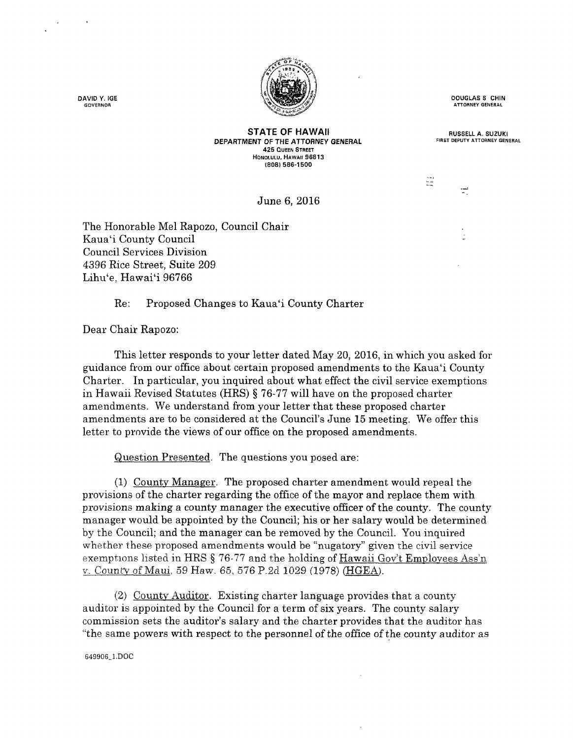

DAVID Y. IGE **GOVERNOR** 

DOUGTAS S CHIN **ATTORNEY GENERAL** 

RUSSELL A. SUZUKI FIRST DEPUTY ATTOBNEY GENERAL

toni<br>A

 $\mathbb{R}^2$ 

STATE OF HAWAII DEPARTMENT OF THE ATTORNEY GENERAL 425 OUEEN STREET HONOLULU, HAWAII 96813 (808) 586-1 500

June 6, 2016

The Honorable Mel Rapozo, Council Chair Kaua'i County Council Council Services Division 4396 Rice Street, Suite 209 Lihu'e, Hawai'i 96766

Re: Proposed Changes to Kaua'i County Charter

Dear Chair Eapozo:

This letter responds to your letter dated May 20, 2016, in which you asked for guidance from our office about certain proposed amendments to the Kaua'i County Charter. In particular, you inquired about what effect the civil service exemptions in Hawaii Revised Statutes (HRS) § 76-77 will have on the proposed charter amendments. We understand from your letter that these proposed charter amendments are to be considered at the Council's June 15 meeting. We offer this letter to provide the views of our office on the proposed amendments.

Question Presented. The questions you posed are:

 $(1)$  County Manager. The proposed charter amendment would repeal the provisions of the charter regarding the office of the mayor and replace them with provisions making a county manager the executive officer of the county. The county manager would be appointed by the Council; his or her salary would be determined by the Council; and the manager can be removed by the Council. You inquired whether these proposed amendments would be "nugatory" given the civil service exemptrons listed in HRS  $\S$  76-77 and the holding of Hawaii Gov't Employees Ass'n v. County of Maui, 59 Haw. 65, 576 P.2d 1029 (1978) (HGEA).

(2) Countv Auditor. Existing charter language provides that a county auditor is appointed by the Council for a term of six years. The county saiary commission sets the auditor's salary and the charter provides that the auditor has "the same powers with respect to the personnel of the office of the county auditor as

643906 1.DOC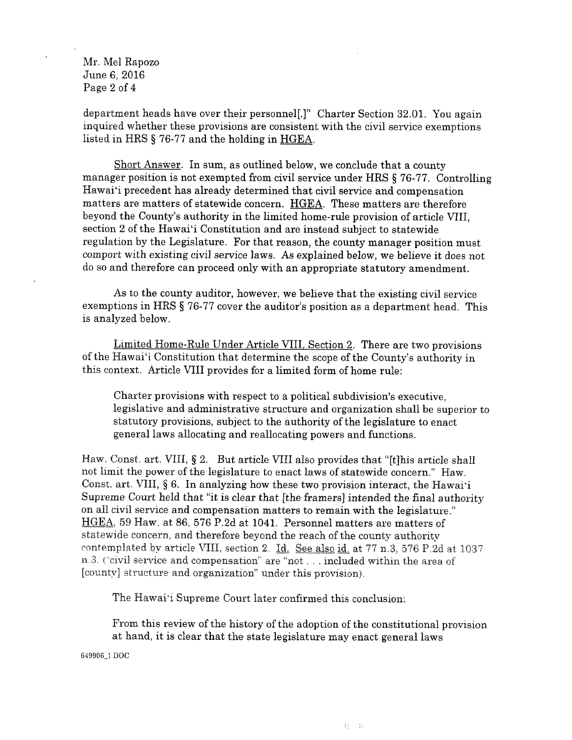Mr. Mel Rapozo June 6, 2016 Page 2 of 4

department heads have over their personnel[.]" Charter Section 32.01. You again inquired whether these provisions are consistent with the civii service exemptions listed in HRS \$ 76-77 and the holding in HGEA.

Short Answer. In sum, as outlined below, we conclude that a county manager position is not exempted from civil service under HRS \$ 76-77. Controlling Hawai'i precedent has already determined that civil service and compensation matters are matters of statewide concern. HGEA. These matters are therefore beyond the County's authority in the limited home-rule provision of article VIII, section 2 of the Hawai'i Constitution and are instead subject to statewide regulation by the Legislature. For that reason, the county manager position must comport with existing civil service laws. As explained below, we believe it does not do so and therefore can proceed only with an appropriate statutory amendment.

As to the county auditor, however, we believe that the existing civil service exemptions in HRS § 76-77 cover the auditor's position as a department head. This is analyzed below.

Limited Home-Rule Under Article VIII. Section 2. There are two provisions of the Hawai'i Constitution that determine the scope of the County's authority in this context. Article VIII provides for a limited form of home rule:

Charter provisions with respect to a political subdivision's executive, legislative and administrative structure and organization shali be superior to statutory provisions, subject to the authority of the legislature to enact general laws allocating and reallocating powers and functions.

Haw. Const. art. VIII,  $\S 2$ . But article VIII also provides that "[t]his article shall not limit the power of the legislature to enact laws of statewide concern." Haw. Const. art. VIII,  $\S 6$ . In analyzing how these two provision interact, the Hawai'i Supreme Court held that "it is clear that [the framers] intended the final authority on all civil service and compensation matters to remain with the legislature." HGEA, 59 Haw. at 86, 576 P.2d at 1041. Personnel matters are matters of statewide concern, and therefore beyond the reach of the county authority contemplated by article VIII, section 2. Id. See also id. at 77 n.3, 576 P.2d at 1037 n.3. ("civil service and compensation" are "not . . . included within the area of [county] structure and organization" under this provision).

The Hawai'i Supreme Court later confirmed this conclusion:

From this review of the history of the adoption of the constitutional provision at hand, it is clear that the state iegislature may enact general laws

649906\_1 DOC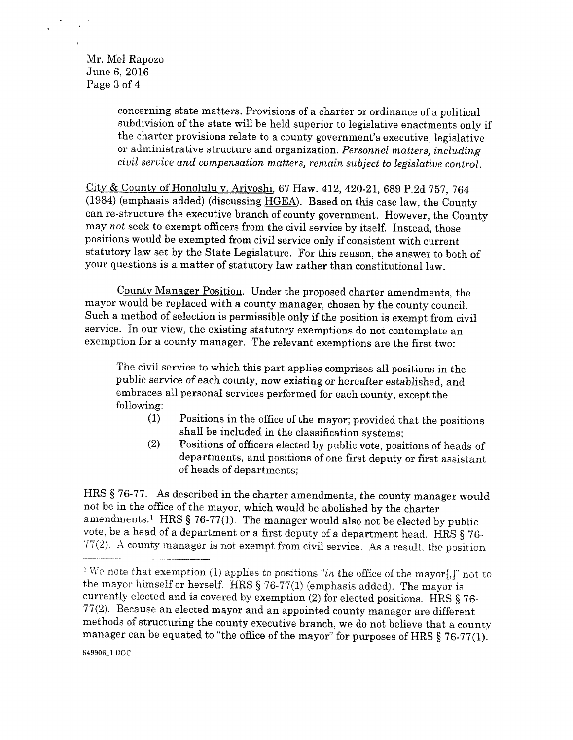Mr. Mei Rapozo June 6, 2016 Page 3 of 4

> concerning state matters. Provisions of a charter or ordinance of a politieal subdivision of the state will be held superior to legislative enactments only if the charter provisions relate to a county government's executive, Iegislative or administrative structure and organization. Personnel matters, including civil service and compensation matters, remain subject to legislative control.

City & County of Honolulu v. Ariyoshi, 67 Haw. 412, 420-21, 689 P.2d 757, 764 (1984) (emphasis added) (discussing HGEA). Based on this case law, the County can re-structure the executive branch of county government. However, the County may not seek to exempt officers from the civil service by itself. Instead, those positions would be exempted from civil service only if consistent with current statutory law set by the State Legislature. For this reason, the answer to both of your questions is a matter of statutory law rather than constitutional law.

Countv Manager Position. Under the proposed charter amendments, the mayor would be replaced with a county manager, chosen by the county council. Such a method of selection is permissible only if the position is exempt from civil service. In our view, the existing statutory exemptions do not contemplate an exemption for a county manager. The relevant exemptions are the first two:

The civil service to which this part applies comprises all positions in the public service of each county, now existing or hereafter estabiished, and embraces all personal services performed for each county, except the following:

- $(1)$  Positions in the office of the mayor; provided that the positions shall be included in the classification systems;
- {2} Positions of officers elected by public vote, positions of heads of departments, and positions of one first deputy or first assistant of heads of departments;

HRS § 76-77. As described in the charter amendments, the county manager would not be in the office of the mayor, which would be abolished by the charter amendments.<sup>1</sup> HRS  $\S$  76-77(1). The manager would also not be elected by public vote, be a head of a department or a first deputy of a department head. HRS  $\S 76$ - $77(2)$ . A county manager is not exempt from civil service. As a result, the position

<sup>&</sup>lt;sup>1</sup>We note that exemption (1) applies to positions "in the office of the mayor[,]" not to the mayor himself or herself. HRS  $\S$  76-77(1) (emphasis added). The mayor is currently elected and is covered by exemption (2) for elected positions. HRS  $\S 76$ - $77(2)$ . Because an elected mayor and an appointed county manager are different methods of structuring the county executive branch, we do not believe that a county manager can be equated to "the office of the mayor" for purposes of HRS  $\S 76-77(1)$ .